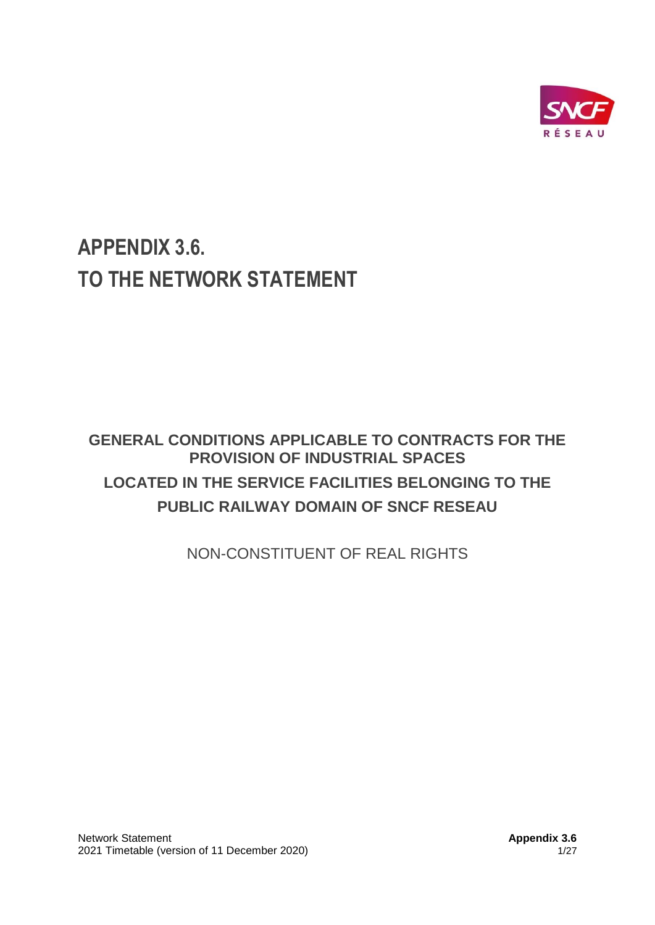

# **APPENDIX 3.6. TO THE NETWORK STATEMENT**

# **GENERAL CONDITIONS APPLICABLE TO CONTRACTS FOR THE PROVISION OF INDUSTRIAL SPACES LOCATED IN THE SERVICE FACILITIES BELONGING TO THE PUBLIC RAILWAY DOMAIN OF SNCF RESEAU**

NON-CONSTITUENT OF REAL RIGHTS

Network Statement **Appendix 3.6** Network Statement **Appendix 3.6** 2021 Timetable (version of 11 December 2020) 1/27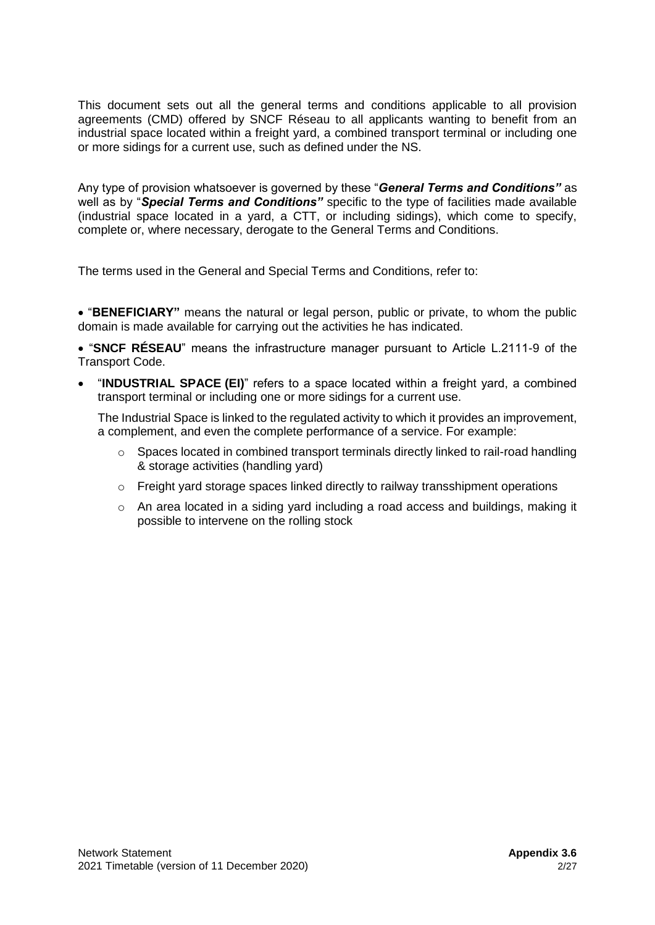This document sets out all the general terms and conditions applicable to all provision agreements (CMD) offered by SNCF Réseau to all applicants wanting to benefit from an industrial space located within a freight yard, a combined transport terminal or including one or more sidings for a current use, such as defined under the NS.

Any type of provision whatsoever is governed by these "*General Terms and Conditions"* as well as by "*Special Terms and Conditions"* specific to the type of facilities made available (industrial space located in a yard, a CTT, or including sidings), which come to specify, complete or, where necessary, derogate to the General Terms and Conditions.

The terms used in the General and Special Terms and Conditions, refer to:

• "**BENEFICIARY"** means the natural or legal person, public or private, to whom the public domain is made available for carrying out the activities he has indicated.

• "**SNCF RÉSEAU**" means the infrastructure manager pursuant to Article L.2111-9 of the Transport Code.

• "**INDUSTRIAL SPACE (EI)**" refers to a space located within a freight yard, a combined transport terminal or including one or more sidings for a current use.

The Industrial Space is linked to the regulated activity to which it provides an improvement, a complement, and even the complete performance of a service. For example:

- $\circ$  Spaces located in combined transport terminals directly linked to rail-road handling & storage activities (handling yard)
- $\circ$  Freight yard storage spaces linked directly to railway transshipment operations
- $\circ$  An area located in a siding yard including a road access and buildings, making it possible to intervene on the rolling stock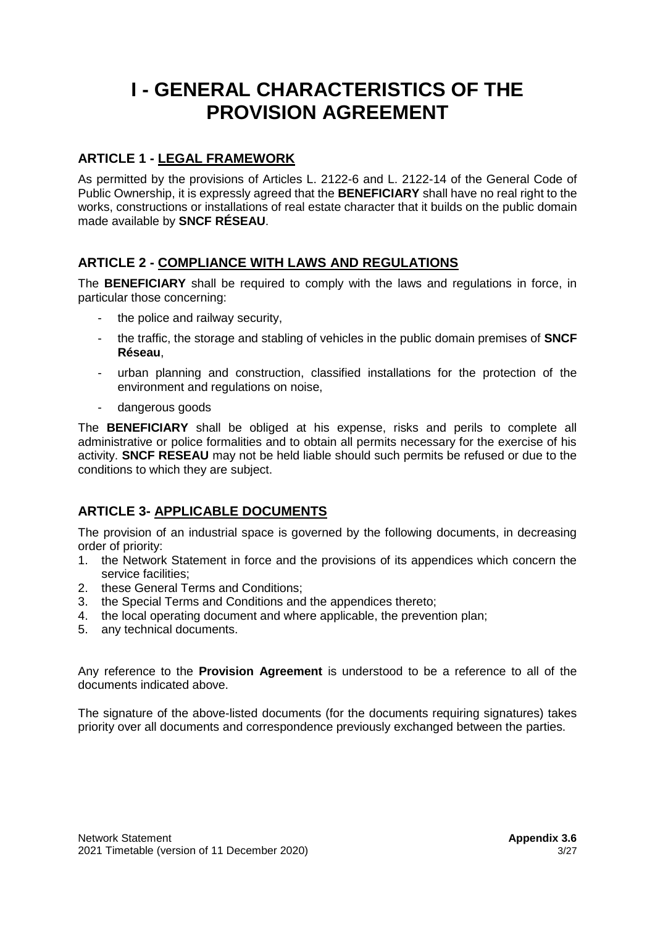# **I - GENERAL CHARACTERISTICS OF THE PROVISION AGREEMENT**

# **ARTICLE 1 - LEGAL FRAMEWORK**

As permitted by the provisions of Articles L. 2122-6 and L. 2122-14 of the General Code of Public Ownership, it is expressly agreed that the **BENEFICIARY** shall have no real right to the works, constructions or installations of real estate character that it builds on the public domain made available by **SNCF RÉSEAU**.

# **ARTICLE 2 - COMPLIANCE WITH LAWS AND REGULATIONS**

The **BENEFICIARY** shall be required to comply with the laws and regulations in force, in particular those concerning:

- the police and railway security,
- the traffic, the storage and stabling of vehicles in the public domain premises of **SNCF Réseau**,
- urban planning and construction, classified installations for the protection of the environment and regulations on noise,
- dangerous goods

The **BENEFICIARY** shall be obliged at his expense, risks and perils to complete all administrative or police formalities and to obtain all permits necessary for the exercise of his activity. **SNCF RESEAU** may not be held liable should such permits be refused or due to the conditions to which they are subject.

## **ARTICLE 3- APPLICABLE DOCUMENTS**

The provision of an industrial space is governed by the following documents, in decreasing order of priority:

- 1. the Network Statement in force and the provisions of its appendices which concern the service facilities;
- 2. these General Terms and Conditions;
- 3. the Special Terms and Conditions and the appendices thereto;
- 4. the local operating document and where applicable, the prevention plan;
- 5. any technical documents.

Any reference to the **Provision Agreement** is understood to be a reference to all of the documents indicated above.

The signature of the above-listed documents (for the documents requiring signatures) takes priority over all documents and correspondence previously exchanged between the parties.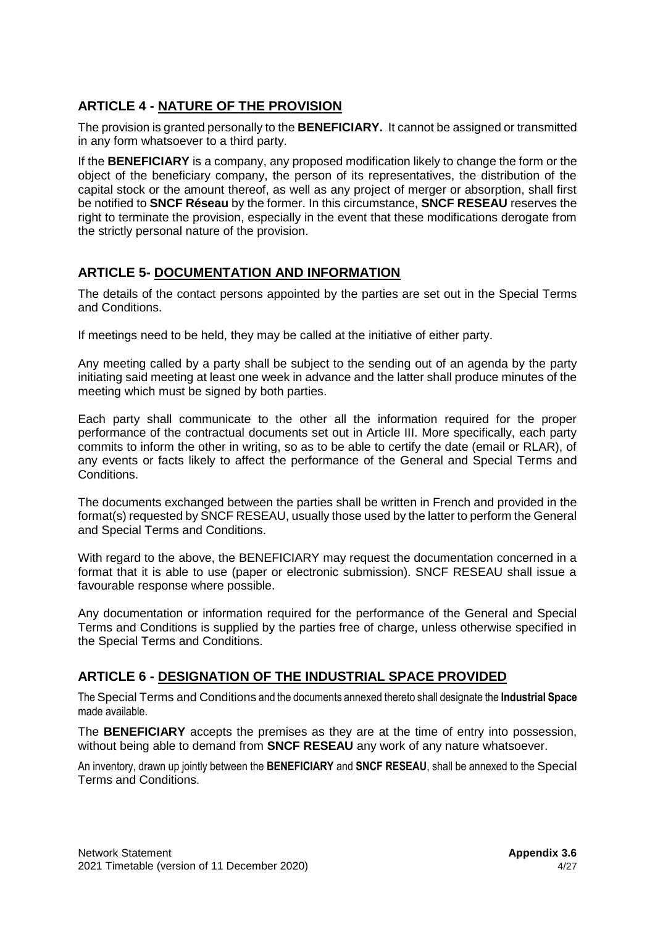# **ARTICLE 4 - NATURE OF THE PROVISION**

The provision is granted personally to the **BENEFICIARY.** It cannot be assigned or transmitted in any form whatsoever to a third party.

If the **BENEFICIARY** is a company, any proposed modification likely to change the form or the object of the beneficiary company, the person of its representatives, the distribution of the capital stock or the amount thereof, as well as any project of merger or absorption, shall first be notified to **SNCF Réseau** by the former. In this circumstance, **SNCF RESEAU** reserves the right to terminate the provision, especially in the event that these modifications derogate from the strictly personal nature of the provision.

## **ARTICLE 5- DOCUMENTATION AND INFORMATION**

The details of the contact persons appointed by the parties are set out in the Special Terms and Conditions.

If meetings need to be held, they may be called at the initiative of either party.

Any meeting called by a party shall be subject to the sending out of an agenda by the party initiating said meeting at least one week in advance and the latter shall produce minutes of the meeting which must be signed by both parties.

Each party shall communicate to the other all the information required for the proper performance of the contractual documents set out in Article III. More specifically, each party commits to inform the other in writing, so as to be able to certify the date (email or RLAR), of any events or facts likely to affect the performance of the General and Special Terms and Conditions.

The documents exchanged between the parties shall be written in French and provided in the format(s) requested by SNCF RESEAU, usually those used by the latter to perform the General and Special Terms and Conditions.

With regard to the above, the BENEFICIARY may request the documentation concerned in a format that it is able to use (paper or electronic submission). SNCF RESEAU shall issue a favourable response where possible.

Any documentation or information required for the performance of the General and Special Terms and Conditions is supplied by the parties free of charge, unless otherwise specified in the Special Terms and Conditions.

## **ARTICLE 6 - DESIGNATION OF THE INDUSTRIAL SPACE PROVIDED**

The Special Terms and Conditions and the documents annexed thereto shall designate the **Industrial Space** made available.

The **BENEFICIARY** accepts the premises as they are at the time of entry into possession, without being able to demand from **SNCF RESEAU** any work of any nature whatsoever.

An inventory, drawn up jointly between the **BENEFICIARY** and **SNCF RESEAU**, shall be annexed to the Special Terms and Conditions.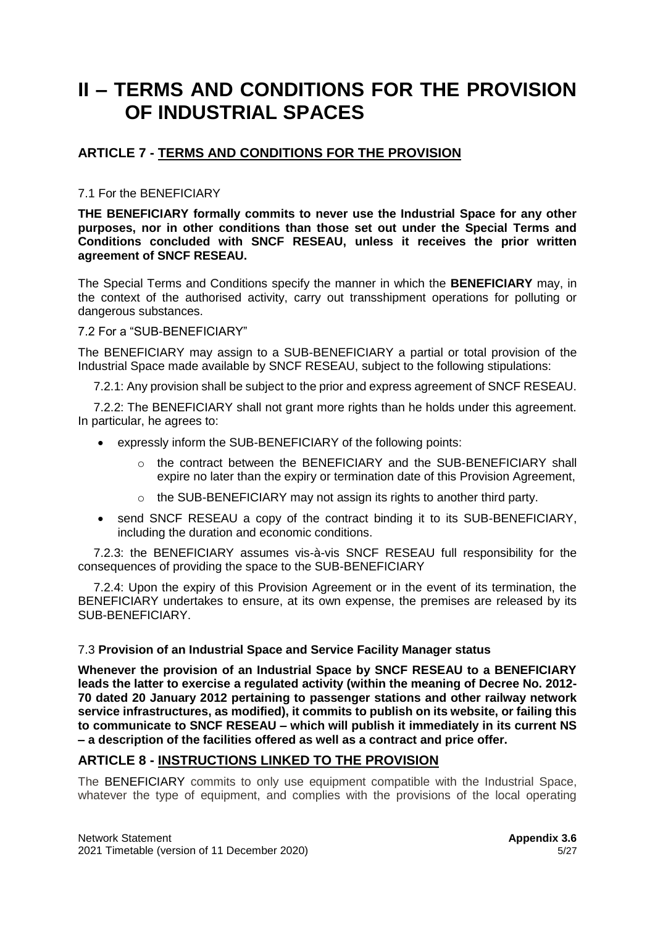# **II – TERMS AND CONDITIONS FOR THE PROVISION OF INDUSTRIAL SPACES**

# **ARTICLE 7 - TERMS AND CONDITIONS FOR THE PROVISION**

### 7.1 For the BENEFICIARY

**THE BENEFICIARY formally commits to never use the Industrial Space for any other purposes, nor in other conditions than those set out under the Special Terms and Conditions concluded with SNCF RESEAU, unless it receives the prior written agreement of SNCF RESEAU.**

The Special Terms and Conditions specify the manner in which the **BENEFICIARY** may, in the context of the authorised activity, carry out transshipment operations for polluting or dangerous substances.

#### 7.2 For a "SUB-BENEFICIARY"

The BENEFICIARY may assign to a SUB-BENEFICIARY a partial or total provision of the Industrial Space made available by SNCF RESEAU, subject to the following stipulations:

7.2.1: Any provision shall be subject to the prior and express agreement of SNCF RESEAU.

7.2.2: The BENEFICIARY shall not grant more rights than he holds under this agreement. In particular, he agrees to:

- expressly inform the SUB-BENEFICIARY of the following points:
	- $\circ$  the contract between the BENEFICIARY and the SUB-BENEFICIARY shall expire no later than the expiry or termination date of this Provision Agreement,
	- o the SUB-BENEFICIARY may not assign its rights to another third party.
- send SNCF RESEAU a copy of the contract binding it to its SUB-BENEFICIARY, including the duration and economic conditions.

7.2.3: the BENEFICIARY assumes vis-à-vis SNCF RESEAU full responsibility for the consequences of providing the space to the SUB-BENEFICIARY

7.2.4: Upon the expiry of this Provision Agreement or in the event of its termination, the BENEFICIARY undertakes to ensure, at its own expense, the premises are released by its SUB-BENEFICIARY.

#### 7.3 **Provision of an Industrial Space and Service Facility Manager status**

**Whenever the provision of an Industrial Space by SNCF RESEAU to a BENEFICIARY leads the latter to exercise a regulated activity (within the meaning of Decree No. 2012- 70 dated 20 January 2012 pertaining to passenger stations and other railway network service infrastructures, as modified), it commits to publish on its website, or failing this to communicate to SNCF RESEAU – which will publish it immediately in its current NS – a description of the facilities offered as well as a contract and price offer.**

## **ARTICLE 8 - INSTRUCTIONS LINKED TO THE PROVISION**

The BENEFICIARY commits to only use equipment compatible with the Industrial Space, whatever the type of equipment, and complies with the provisions of the local operating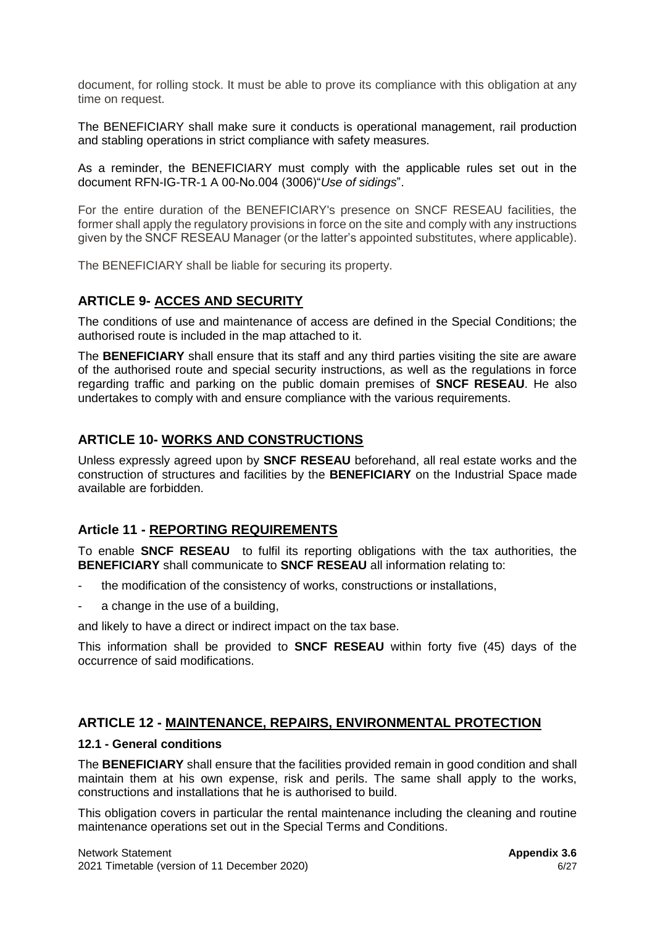document, for rolling stock. It must be able to prove its compliance with this obligation at any time on request.

The BENEFICIARY shall make sure it conducts is operational management, rail production and stabling operations in strict compliance with safety measures.

As a reminder, the BENEFICIARY must comply with the applicable rules set out in the document RFN-IG-TR-1 A 00-No.004 (3006)"*Use of sidings*".

For the entire duration of the BENEFICIARY's presence on SNCF RESEAU facilities, the former shall apply the regulatory provisions in force on the site and comply with any instructions given by the SNCF RESEAU Manager (or the latter's appointed substitutes, where applicable).

The BENEFICIARY shall be liable for securing its property.

## **ARTICLE 9- ACCES AND SECURITY**

The conditions of use and maintenance of access are defined in the Special Conditions; the authorised route is included in the map attached to it.

The **BENEFICIARY** shall ensure that its staff and any third parties visiting the site are aware of the authorised route and special security instructions, as well as the regulations in force regarding traffic and parking on the public domain premises of **SNCF RESEAU**. He also undertakes to comply with and ensure compliance with the various requirements.

# **ARTICLE 10- WORKS AND CONSTRUCTIONS**

Unless expressly agreed upon by **SNCF RESEAU** beforehand, all real estate works and the construction of structures and facilities by the **BENEFICIARY** on the Industrial Space made available are forbidden.

## **Article 11 - REPORTING REQUIREMENTS**

To enable **SNCF RESEAU** to fulfil its reporting obligations with the tax authorities, the **BENEFICIARY** shall communicate to **SNCF RESEAU** all information relating to:

- the modification of the consistency of works, constructions or installations,
- a change in the use of a building,

and likely to have a direct or indirect impact on the tax base.

This information shall be provided to **SNCF RESEAU** within forty five (45) days of the occurrence of said modifications.

## **ARTICLE 12 - MAINTENANCE, REPAIRS, ENVIRONMENTAL PROTECTION**

#### **12.1 - General conditions**

The **BENEFICIARY** shall ensure that the facilities provided remain in good condition and shall maintain them at his own expense, risk and perils. The same shall apply to the works, constructions and installations that he is authorised to build.

This obligation covers in particular the rental maintenance including the cleaning and routine maintenance operations set out in the Special Terms and Conditions.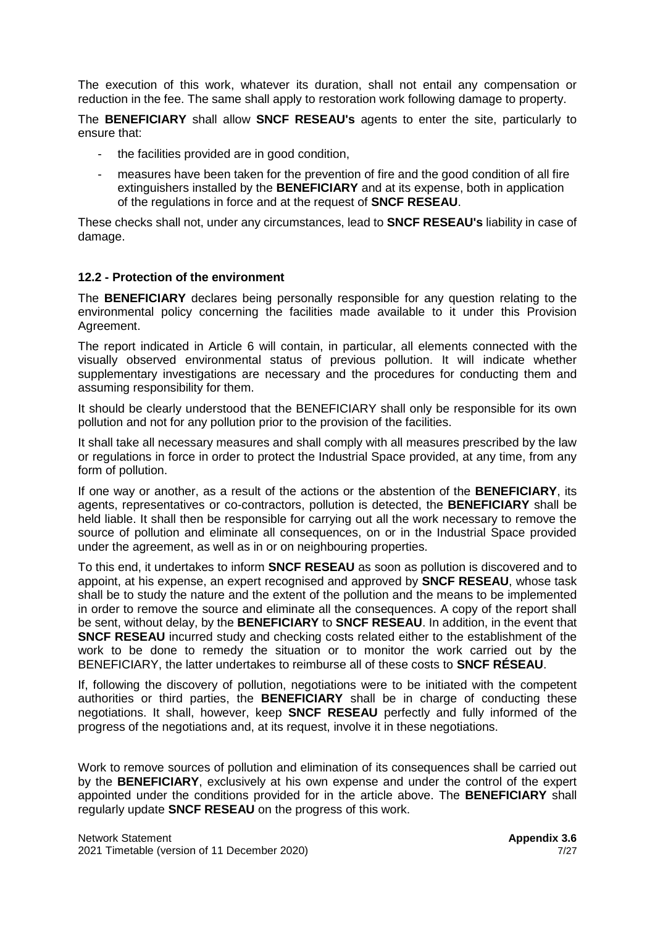The execution of this work, whatever its duration, shall not entail any compensation or reduction in the fee. The same shall apply to restoration work following damage to property.

The **BENEFICIARY** shall allow **SNCF RESEAU's** agents to enter the site, particularly to ensure that:

- the facilities provided are in good condition,
- measures have been taken for the prevention of fire and the good condition of all fire extinguishers installed by the **BENEFICIARY** and at its expense, both in application of the regulations in force and at the request of **SNCF RESEAU**.

These checks shall not, under any circumstances, lead to **SNCF RESEAU's** liability in case of damage.

#### **12.2 - Protection of the environment**

The **BENEFICIARY** declares being personally responsible for any question relating to the environmental policy concerning the facilities made available to it under this Provision Agreement.

The report indicated in Article 6 will contain, in particular, all elements connected with the visually observed environmental status of previous pollution. It will indicate whether supplementary investigations are necessary and the procedures for conducting them and assuming responsibility for them.

It should be clearly understood that the BENEFICIARY shall only be responsible for its own pollution and not for any pollution prior to the provision of the facilities.

It shall take all necessary measures and shall comply with all measures prescribed by the law or regulations in force in order to protect the Industrial Space provided, at any time, from any form of pollution.

If one way or another, as a result of the actions or the abstention of the **BENEFICIARY**, its agents, representatives or co-contractors, pollution is detected, the **BENEFICIARY** shall be held liable. It shall then be responsible for carrying out all the work necessary to remove the source of pollution and eliminate all consequences, on or in the Industrial Space provided under the agreement, as well as in or on neighbouring properties.

To this end, it undertakes to inform **SNCF RESEAU** as soon as pollution is discovered and to appoint, at his expense, an expert recognised and approved by **SNCF RESEAU**, whose task shall be to study the nature and the extent of the pollution and the means to be implemented in order to remove the source and eliminate all the consequences. A copy of the report shall be sent, without delay, by the **BENEFICIARY** to **SNCF RESEAU**. In addition, in the event that **SNCF RESEAU** incurred study and checking costs related either to the establishment of the work to be done to remedy the situation or to monitor the work carried out by the BENEFICIARY, the latter undertakes to reimburse all of these costs to **SNCF RÉSEAU**.

If, following the discovery of pollution, negotiations were to be initiated with the competent authorities or third parties, the **BENEFICIARY** shall be in charge of conducting these negotiations. It shall, however, keep **SNCF RESEAU** perfectly and fully informed of the progress of the negotiations and, at its request, involve it in these negotiations.

Work to remove sources of pollution and elimination of its consequences shall be carried out by the **BENEFICIARY**, exclusively at his own expense and under the control of the expert appointed under the conditions provided for in the article above. The **BENEFICIARY** shall regularly update **SNCF RESEAU** on the progress of this work.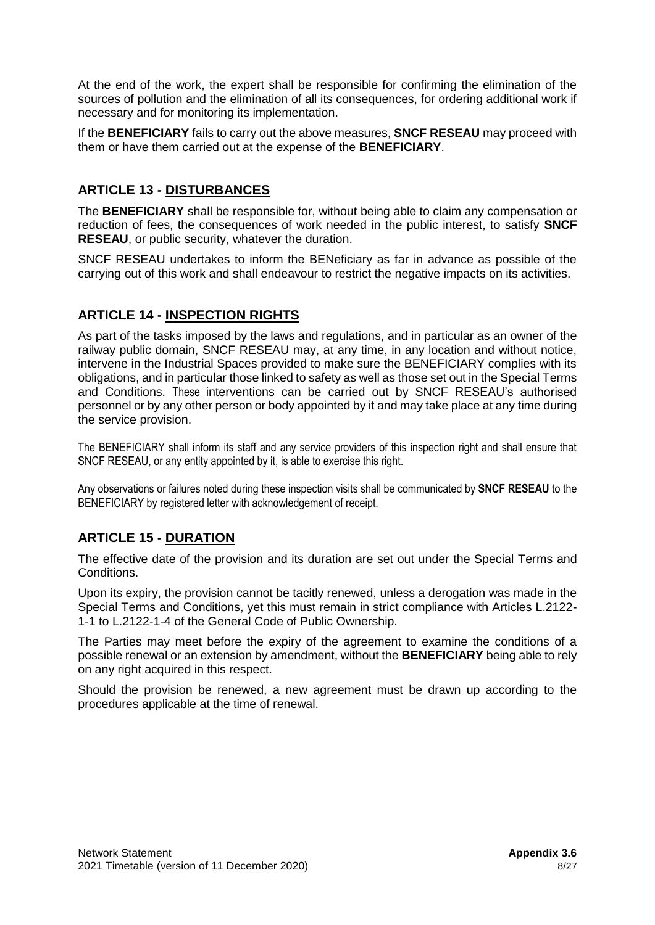At the end of the work, the expert shall be responsible for confirming the elimination of the sources of pollution and the elimination of all its consequences, for ordering additional work if necessary and for monitoring its implementation.

If the **BENEFICIARY** fails to carry out the above measures, **SNCF RESEAU** may proceed with them or have them carried out at the expense of the **BENEFICIARY**.

# **ARTICLE 13 - DISTURBANCES**

The **BENEFICIARY** shall be responsible for, without being able to claim any compensation or reduction of fees, the consequences of work needed in the public interest, to satisfy **SNCF RESEAU**, or public security, whatever the duration.

SNCF RESEAU undertakes to inform the BENeficiary as far in advance as possible of the carrying out of this work and shall endeavour to restrict the negative impacts on its activities.

## **ARTICLE 14 - INSPECTION RIGHTS**

As part of the tasks imposed by the laws and regulations, and in particular as an owner of the railway public domain, SNCF RESEAU may, at any time, in any location and without notice, intervene in the Industrial Spaces provided to make sure the BENEFICIARY complies with its obligations, and in particular those linked to safety as well as those set out in the Special Terms and Conditions. These interventions can be carried out by SNCF RESEAU's authorised personnel or by any other person or body appointed by it and may take place at any time during the service provision.

The BENEFICIARY shall inform its staff and any service providers of this inspection right and shall ensure that SNCF RESEAU, or any entity appointed by it, is able to exercise this right.

Any observations or failures noted during these inspection visits shall be communicated by **SNCF RESEAU** to the BENEFICIARY by registered letter with acknowledgement of receipt.

## **ARTICLE 15 - DURATION**

The effective date of the provision and its duration are set out under the Special Terms and Conditions.

Upon its expiry, the provision cannot be tacitly renewed, unless a derogation was made in the Special Terms and Conditions, yet this must remain in strict compliance with Articles L.2122- 1-1 to L.2122-1-4 of the General Code of Public Ownership.

The Parties may meet before the expiry of the agreement to examine the conditions of a possible renewal or an extension by amendment, without the **BENEFICIARY** being able to rely on any right acquired in this respect.

Should the provision be renewed, a new agreement must be drawn up according to the procedures applicable at the time of renewal.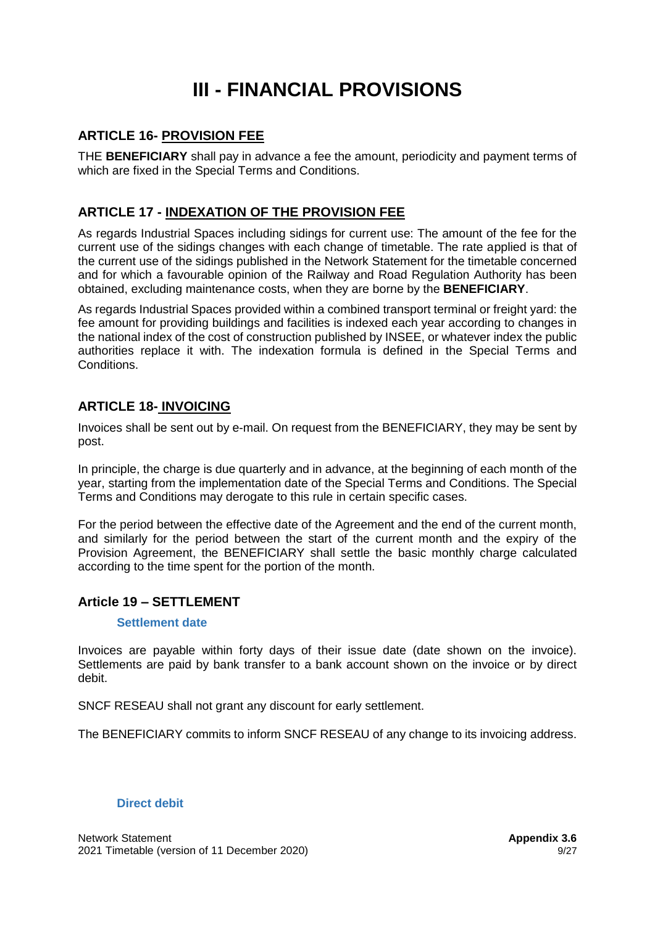# **III - FINANCIAL PROVISIONS**

## **ARTICLE 16- PROVISION FEE**

THE **BENEFICIARY** shall pay in advance a fee the amount, periodicity and payment terms of which are fixed in the Special Terms and Conditions.

# **ARTICLE 17 - INDEXATION OF THE PROVISION FEE**

As regards Industrial Spaces including sidings for current use: The amount of the fee for the current use of the sidings changes with each change of timetable. The rate applied is that of the current use of the sidings published in the Network Statement for the timetable concerned and for which a favourable opinion of the Railway and Road Regulation Authority has been obtained, excluding maintenance costs, when they are borne by the **BENEFICIARY**.

As regards Industrial Spaces provided within a combined transport terminal or freight yard: the fee amount for providing buildings and facilities is indexed each year according to changes in the national index of the cost of construction published by INSEE, or whatever index the public authorities replace it with. The indexation formula is defined in the Special Terms and Conditions.

## **ARTICLE 18- INVOICING**

Invoices shall be sent out by e-mail. On request from the BENEFICIARY, they may be sent by post.

In principle, the charge is due quarterly and in advance, at the beginning of each month of the year, starting from the implementation date of the Special Terms and Conditions. The Special Terms and Conditions may derogate to this rule in certain specific cases.

For the period between the effective date of the Agreement and the end of the current month, and similarly for the period between the start of the current month and the expiry of the Provision Agreement, the BENEFICIARY shall settle the basic monthly charge calculated according to the time spent for the portion of the month.

## **Article 19 – SETTLEMENT**

#### **Settlement date**

Invoices are payable within forty days of their issue date (date shown on the invoice). Settlements are paid by bank transfer to a bank account shown on the invoice or by direct debit.

SNCF RESEAU shall not grant any discount for early settlement.

The BENEFICIARY commits to inform SNCF RESEAU of any change to its invoicing address.

#### **Direct debit**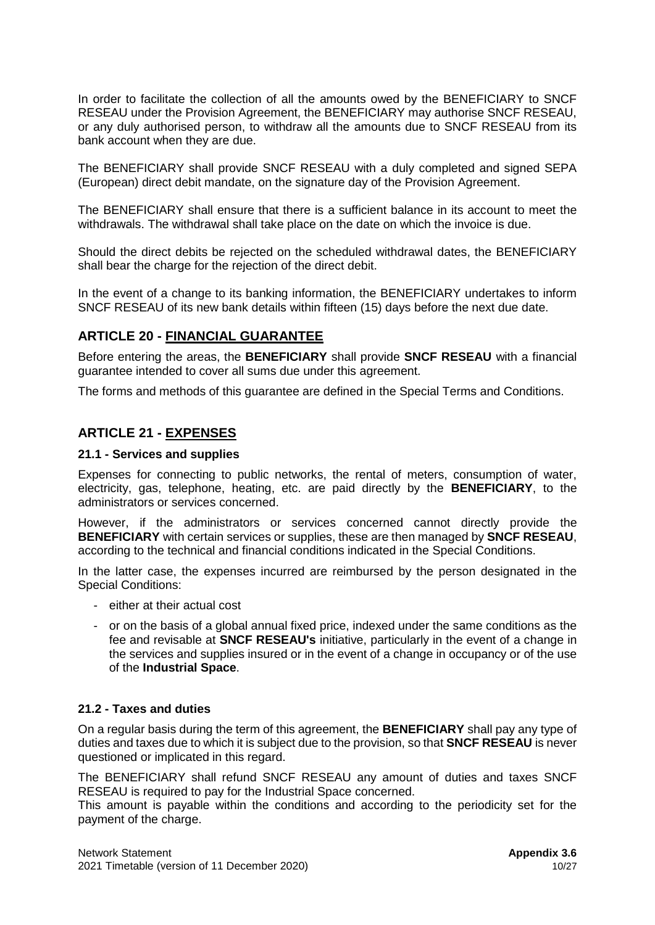In order to facilitate the collection of all the amounts owed by the BENEFICIARY to SNCF RESEAU under the Provision Agreement, the BENEFICIARY may authorise SNCF RESEAU, or any duly authorised person, to withdraw all the amounts due to SNCF RESEAU from its bank account when they are due.

The BENEFICIARY shall provide SNCF RESEAU with a duly completed and signed SEPA (European) direct debit mandate, on the signature day of the Provision Agreement.

The BENEFICIARY shall ensure that there is a sufficient balance in its account to meet the withdrawals. The withdrawal shall take place on the date on which the invoice is due.

Should the direct debits be rejected on the scheduled withdrawal dates, the BENEFICIARY shall bear the charge for the rejection of the direct debit.

In the event of a change to its banking information, the BENEFICIARY undertakes to inform SNCF RESEAU of its new bank details within fifteen (15) days before the next due date.

### **ARTICLE 20 - FINANCIAL GUARANTEE**

Before entering the areas, the **BENEFICIARY** shall provide **SNCF RESEAU** with a financial guarantee intended to cover all sums due under this agreement.

The forms and methods of this guarantee are defined in the Special Terms and Conditions.

#### **ARTICLE 21 - EXPENSES**

#### **21.1 - Services and supplies**

Expenses for connecting to public networks, the rental of meters, consumption of water, electricity, gas, telephone, heating, etc. are paid directly by the **BENEFICIARY**, to the administrators or services concerned.

However, if the administrators or services concerned cannot directly provide the **BENEFICIARY** with certain services or supplies, these are then managed by **SNCF RESEAU**, according to the technical and financial conditions indicated in the Special Conditions.

In the latter case, the expenses incurred are reimbursed by the person designated in the Special Conditions:

- either at their actual cost
- or on the basis of a global annual fixed price, indexed under the same conditions as the fee and revisable at **SNCF RESEAU's** initiative, particularly in the event of a change in the services and supplies insured or in the event of a change in occupancy or of the use of the **Industrial Space**.

#### **21.2 - Taxes and duties**

On a regular basis during the term of this agreement, the **BENEFICIARY** shall pay any type of duties and taxes due to which it is subject due to the provision, so that **SNCF RESEAU** is never questioned or implicated in this regard.

The BENEFICIARY shall refund SNCF RESEAU any amount of duties and taxes SNCF RESEAU is required to pay for the Industrial Space concerned.

This amount is payable within the conditions and according to the periodicity set for the payment of the charge.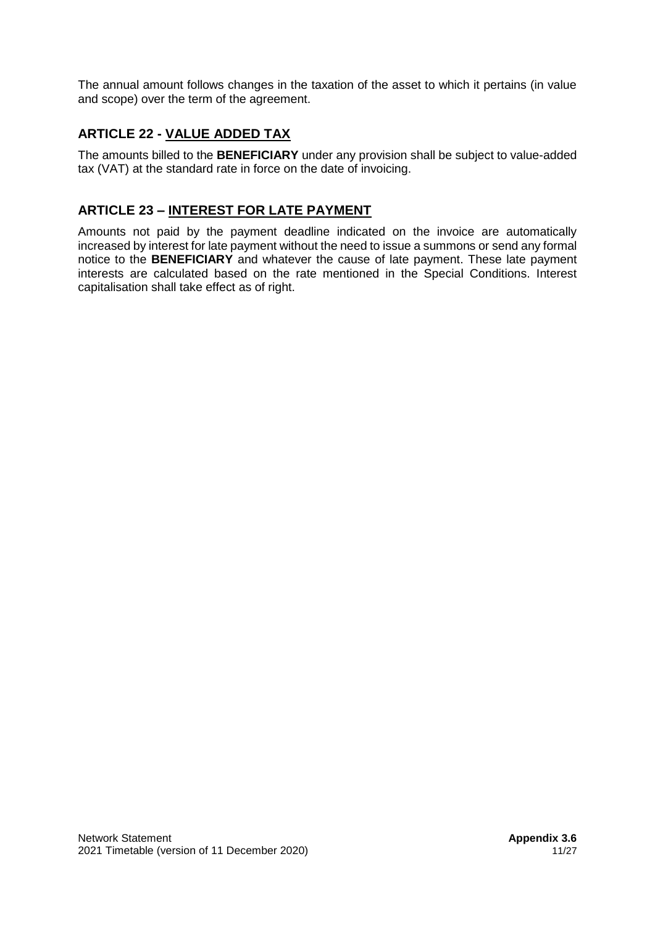The annual amount follows changes in the taxation of the asset to which it pertains (in value and scope) over the term of the agreement.

# **ARTICLE 22 - VALUE ADDED TAX**

The amounts billed to the **BENEFICIARY** under any provision shall be subject to value-added tax (VAT) at the standard rate in force on the date of invoicing.

# **ARTICLE 23 – INTEREST FOR LATE PAYMENT**

Amounts not paid by the payment deadline indicated on the invoice are automatically increased by interest for late payment without the need to issue a summons or send any formal notice to the **BENEFICIARY** and whatever the cause of late payment. These late payment interests are calculated based on the rate mentioned in the Special Conditions. Interest capitalisation shall take effect as of right.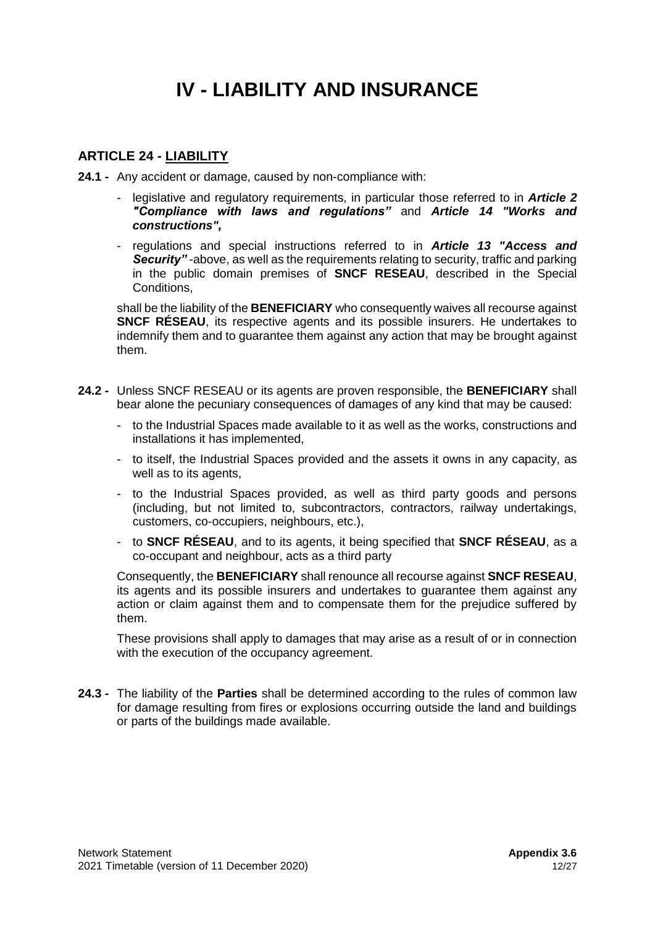# **IV - LIABILITY AND INSURANCE**

## **ARTICLE 24 - LIABILITY**

**24.1 -** Any accident or damage, caused by non-compliance with:

- legislative and regulatory requirements, in particular those referred to in *Article 2 "Compliance with laws and regulations"* and *Article 14 "Works and constructions",*
- regulations and special instructions referred to in *Article 13 "Access and Security"* -above, as well as the requirements relating to security, traffic and parking in the public domain premises of **SNCF RESEAU**, described in the Special Conditions,

shall be the liability of the **BENEFICIARY** who consequently waives all recourse against **SNCF RÉSEAU**, its respective agents and its possible insurers. He undertakes to indemnify them and to guarantee them against any action that may be brought against them.

- **24.2 -** Unless SNCF RESEAU or its agents are proven responsible, the **BENEFICIARY** shall bear alone the pecuniary consequences of damages of any kind that may be caused:
	- to the Industrial Spaces made available to it as well as the works, constructions and installations it has implemented,
	- to itself, the Industrial Spaces provided and the assets it owns in any capacity, as well as to its agents,
	- to the Industrial Spaces provided, as well as third party goods and persons (including, but not limited to, subcontractors, contractors, railway undertakings, customers, co-occupiers, neighbours, etc.),
	- to **SNCF RÉSEAU**, and to its agents, it being specified that **SNCF RÉSEAU**, as a co-occupant and neighbour, acts as a third party

Consequently, the **BENEFICIARY** shall renounce all recourse against **SNCF RESEAU**, its agents and its possible insurers and undertakes to guarantee them against any action or claim against them and to compensate them for the prejudice suffered by them.

These provisions shall apply to damages that may arise as a result of or in connection with the execution of the occupancy agreement.

**24.3 -** The liability of the **Parties** shall be determined according to the rules of common law for damage resulting from fires or explosions occurring outside the land and buildings or parts of the buildings made available.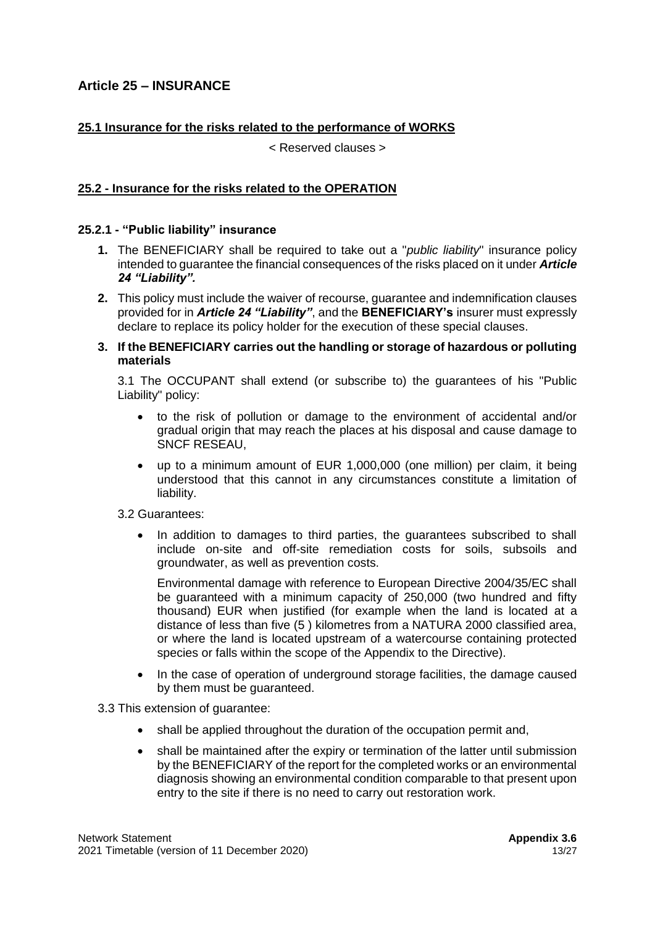## **Article 25 – INSURANCE**

### **25.1 Insurance for the risks related to the performance of WORKS**

< Reserved clauses >

#### **25.2 - Insurance for the risks related to the OPERATION**

#### **25.2.1 - "Public liability" insurance**

- **1.** The BENEFICIARY shall be required to take out a "*public liability*" insurance policy intended to guarantee the financial consequences of the risks placed on it under *Article 24 "Liability".*
- **2.** This policy must include the waiver of recourse, guarantee and indemnification clauses provided for in *Article 24 "Liability"*, and the **BENEFICIARY's** insurer must expressly declare to replace its policy holder for the execution of these special clauses.
- **3. If the BENEFICIARY carries out the handling or storage of hazardous or polluting materials**

3.1 The OCCUPANT shall extend (or subscribe to) the guarantees of his "Public Liability" policy:

- to the risk of pollution or damage to the environment of accidental and/or gradual origin that may reach the places at his disposal and cause damage to SNCF RESEAU,
- up to a minimum amount of EUR 1,000,000 (one million) per claim, it being understood that this cannot in any circumstances constitute a limitation of liability.
- 3.2 Guarantees:
	- In addition to damages to third parties, the guarantees subscribed to shall include on-site and off-site remediation costs for soils, subsoils and groundwater, as well as prevention costs.

Environmental damage with reference to European Directive 2004/35/EC shall be guaranteed with a minimum capacity of 250,000 (two hundred and fifty thousand) EUR when justified (for example when the land is located at a distance of less than five (5 ) kilometres from a NATURA 2000 classified area, or where the land is located upstream of a watercourse containing protected species or falls within the scope of the Appendix to the Directive).

• In the case of operation of underground storage facilities, the damage caused by them must be guaranteed.

3.3 This extension of guarantee:

- shall be applied throughout the duration of the occupation permit and,
- shall be maintained after the expiry or termination of the latter until submission by the BENEFICIARY of the report for the completed works or an environmental diagnosis showing an environmental condition comparable to that present upon entry to the site if there is no need to carry out restoration work.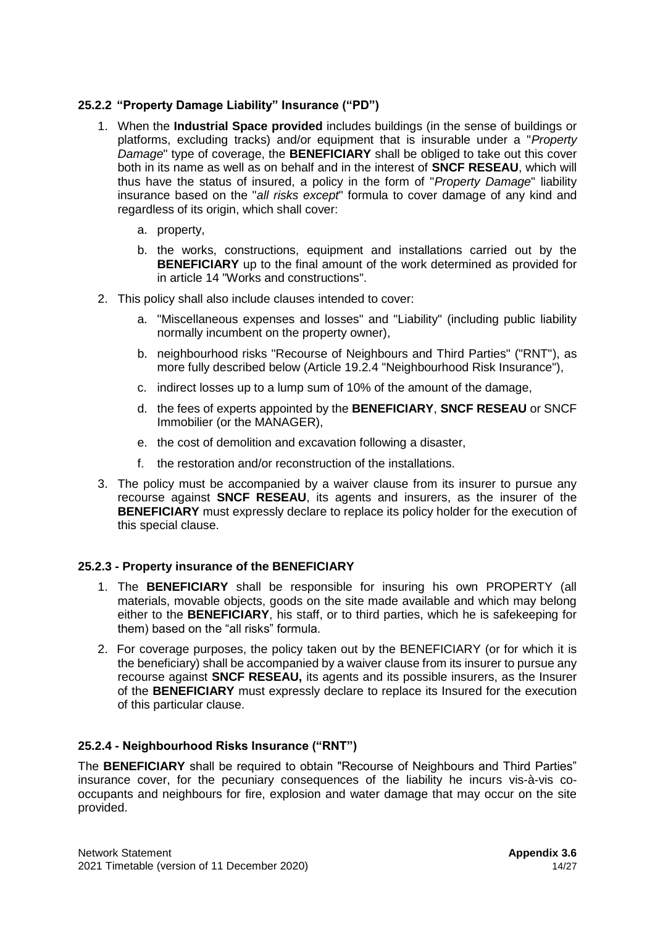### **25.2.2 "Property Damage Liability" Insurance ("PD")**

- 1. When the **Industrial Space provided** includes buildings (in the sense of buildings or platforms, excluding tracks) and/or equipment that is insurable under a "*Property Damage*" type of coverage, the **BENEFICIARY** shall be obliged to take out this cover both in its name as well as on behalf and in the interest of **SNCF RESEAU**, which will thus have the status of insured, a policy in the form of "*Property Damage*" liability insurance based on the "*all risks except*" formula to cover damage of any kind and regardless of its origin, which shall cover:
	- a. property,
	- b. the works, constructions, equipment and installations carried out by the **BENEFICIARY** up to the final amount of the work determined as provided for in article 14 "Works and constructions".
- 2. This policy shall also include clauses intended to cover:
	- a. "Miscellaneous expenses and losses" and "Liability" (including public liability normally incumbent on the property owner),
	- b. neighbourhood risks "Recourse of Neighbours and Third Parties" ("RNT"), as more fully described below (Article 19.2.4 "Neighbourhood Risk Insurance"),
	- c. indirect losses up to a lump sum of 10% of the amount of the damage,
	- d. the fees of experts appointed by the **BENEFICIARY**, **SNCF RESEAU** or SNCF Immobilier (or the MANAGER),
	- e. the cost of demolition and excavation following a disaster,
	- f. the restoration and/or reconstruction of the installations.
- 3. The policy must be accompanied by a waiver clause from its insurer to pursue any recourse against **SNCF RESEAU**, its agents and insurers, as the insurer of the **BENEFICIARY** must expressly declare to replace its policy holder for the execution of this special clause.

## **25.2.3 - Property insurance of the BENEFICIARY**

- 1. The **BENEFICIARY** shall be responsible for insuring his own PROPERTY (all materials, movable objects, goods on the site made available and which may belong either to the **BENEFICIARY**, his staff, or to third parties, which he is safekeeping for them) based on the "all risks" formula.
- 2. For coverage purposes, the policy taken out by the BENEFICIARY (or for which it is the beneficiary) shall be accompanied by a waiver clause from its insurer to pursue any recourse against **SNCF RESEAU,** its agents and its possible insurers, as the Insurer of the **BENEFICIARY** must expressly declare to replace its Insured for the execution of this particular clause.

## **25.2.4 - Neighbourhood Risks Insurance ("RNT")**

The **BENEFICIARY** shall be required to obtain "Recourse of Neighbours and Third Parties" insurance cover, for the pecuniary consequences of the liability he incurs vis-à-vis cooccupants and neighbours for fire, explosion and water damage that may occur on the site provided.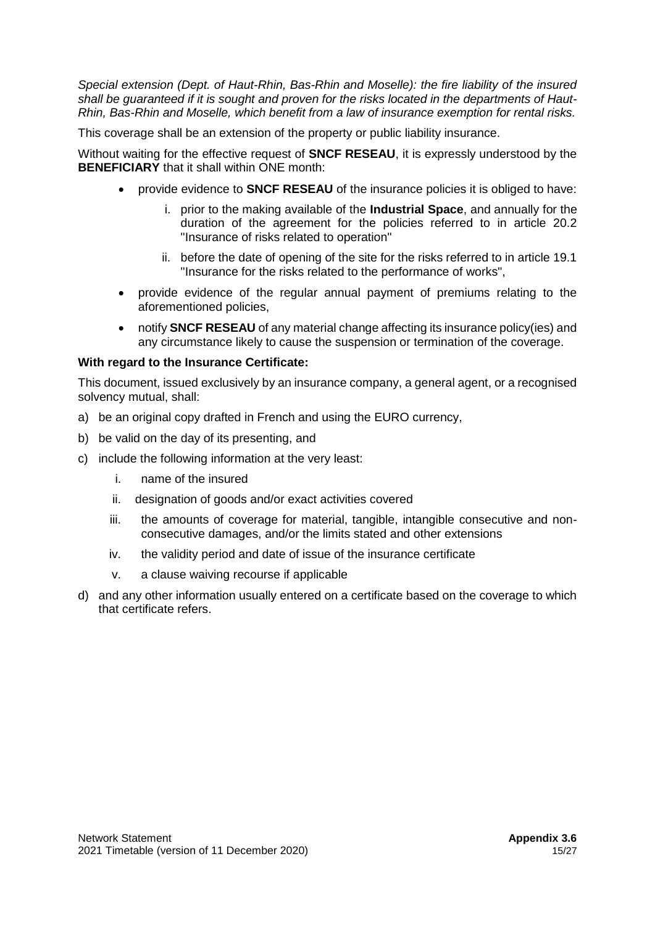*Special extension (Dept. of Haut-Rhin, Bas-Rhin and Moselle): the fire liability of the insured shall be guaranteed if it is sought and proven for the risks located in the departments of Haut-Rhin, Bas-Rhin and Moselle, which benefit from a law of insurance exemption for rental risks.*

This coverage shall be an extension of the property or public liability insurance.

Without waiting for the effective request of **SNCF RESEAU**, it is expressly understood by the **BENEFICIARY** that it shall within ONE month:

- provide evidence to **SNCF RESEAU** of the insurance policies it is obliged to have:
	- i. prior to the making available of the **Industrial Space**, and annually for the duration of the agreement for the policies referred to in article 20.2 "Insurance of risks related to operation"
	- ii. before the date of opening of the site for the risks referred to in article 19.1 "Insurance for the risks related to the performance of works",
- provide evidence of the regular annual payment of premiums relating to the aforementioned policies,
- notify **SNCF RESEAU** of any material change affecting its insurance policy(ies) and any circumstance likely to cause the suspension or termination of the coverage.

#### **With regard to the Insurance Certificate:**

This document, issued exclusively by an insurance company, a general agent, or a recognised solvency mutual, shall:

- a) be an original copy drafted in French and using the EURO currency,
- b) be valid on the day of its presenting, and
- c) include the following information at the very least:
	- i. name of the insured
	- ii. designation of goods and/or exact activities covered
	- iii. the amounts of coverage for material, tangible, intangible consecutive and nonconsecutive damages, and/or the limits stated and other extensions
	- iv. the validity period and date of issue of the insurance certificate
	- v. a clause waiving recourse if applicable
- d) and any other information usually entered on a certificate based on the coverage to which that certificate refers.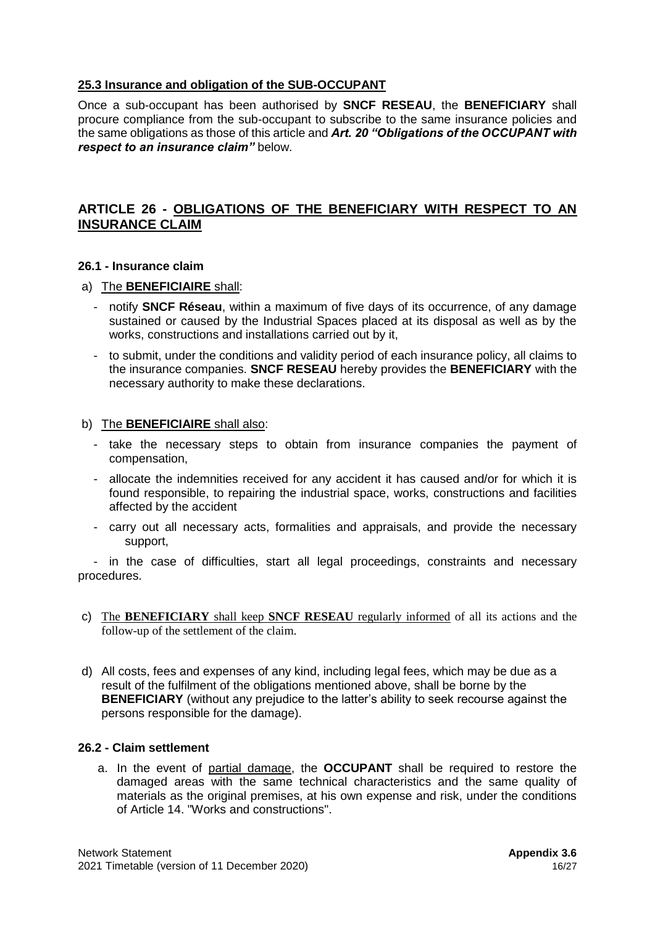### **25.3 Insurance and obligation of the SUB-OCCUPANT**

Once a sub-occupant has been authorised by **SNCF RESEAU**, the **BENEFICIARY** shall procure compliance from the sub-occupant to subscribe to the same insurance policies and the same obligations as those of this article and *Art. 20 "Obligations of the OCCUPANT with respect to an insurance claim"* below.

## **ARTICLE 26 - OBLIGATIONS OF THE BENEFICIARY WITH RESPECT TO AN INSURANCE CLAIM**

#### **26.1 - Insurance claim**

#### a) The **BENEFICIAIRE** shall:

- notify **SNCF Réseau**, within a maximum of five days of its occurrence, of any damage sustained or caused by the Industrial Spaces placed at its disposal as well as by the works, constructions and installations carried out by it,
- to submit, under the conditions and validity period of each insurance policy, all claims to the insurance companies. **SNCF RESEAU** hereby provides the **BENEFICIARY** with the necessary authority to make these declarations.

#### b) The **BENEFICIAIRE** shall also:

- take the necessary steps to obtain from insurance companies the payment of compensation,
- allocate the indemnities received for any accident it has caused and/or for which it is found responsible, to repairing the industrial space, works, constructions and facilities affected by the accident
- carry out all necessary acts, formalities and appraisals, and provide the necessary support,

- in the case of difficulties, start all legal proceedings, constraints and necessary procedures.

- c) The **BENEFICIARY** shall keep **SNCF RESEAU** regularly informed of all its actions and the follow-up of the settlement of the claim.
- d) All costs, fees and expenses of any kind, including legal fees, which may be due as a result of the fulfilment of the obligations mentioned above, shall be borne by the **BENEFICIARY** (without any prejudice to the latter's ability to seek recourse against the persons responsible for the damage).

#### **26.2 - Claim settlement**

a. In the event of partial damage, the **OCCUPANT** shall be required to restore the damaged areas with the same technical characteristics and the same quality of materials as the original premises, at his own expense and risk, under the conditions of Article 14. "Works and constructions".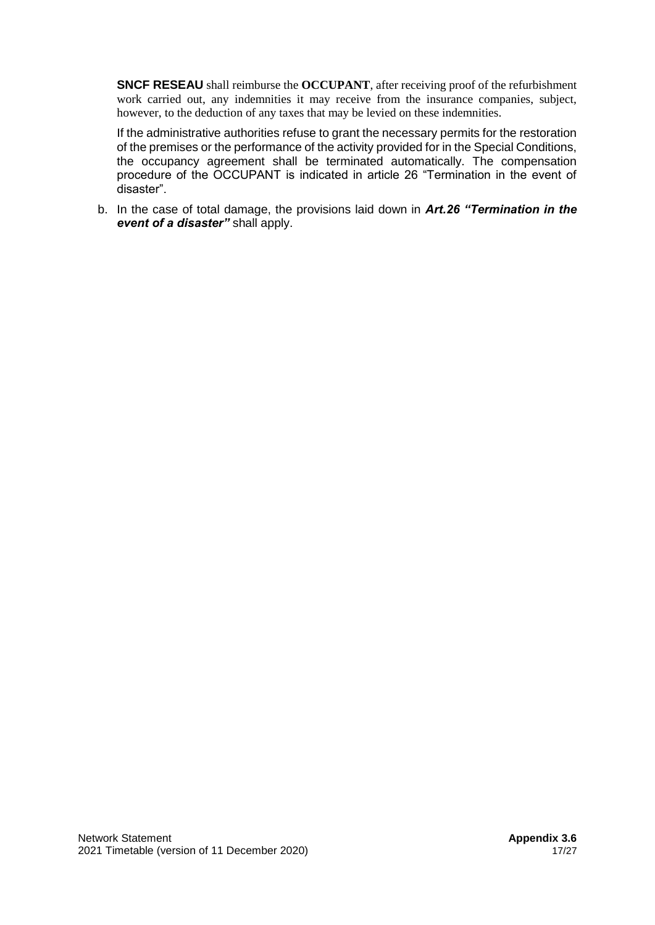**SNCF RESEAU** shall reimburse the **OCCUPANT**, after receiving proof of the refurbishment work carried out, any indemnities it may receive from the insurance companies, subject, however, to the deduction of any taxes that may be levied on these indemnities.

If the administrative authorities refuse to grant the necessary permits for the restoration of the premises or the performance of the activity provided for in the Special Conditions, the occupancy agreement shall be terminated automatically. The compensation procedure of the OCCUPANT is indicated in article 26 "Termination in the event of disaster".

b. In the case of total damage, the provisions laid down in *Art.26 "Termination in the event of a disaster"* shall apply.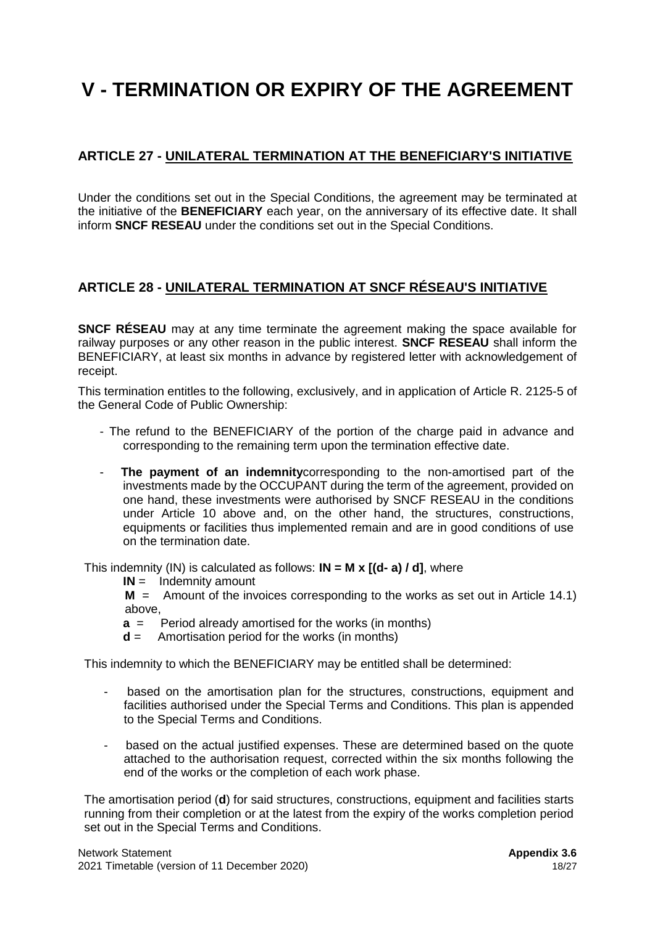# **V - TERMINATION OR EXPIRY OF THE AGREEMENT**

## **ARTICLE 27 - UNILATERAL TERMINATION AT THE BENEFICIARY'S INITIATIVE**

Under the conditions set out in the Special Conditions, the agreement may be terminated at the initiative of the **BENEFICIARY** each year, on the anniversary of its effective date. It shall inform **SNCF RESEAU** under the conditions set out in the Special Conditions.

## **ARTICLE 28 - UNILATERAL TERMINATION AT SNCF RÉSEAU'S INITIATIVE**

**SNCF RÉSEAU** may at any time terminate the agreement making the space available for railway purposes or any other reason in the public interest. **SNCF RESEAU** shall inform the BENEFICIARY, at least six months in advance by registered letter with acknowledgement of receipt.

This termination entitles to the following, exclusively, and in application of Article R. 2125-5 of the General Code of Public Ownership:

- The refund to the BENEFICIARY of the portion of the charge paid in advance and corresponding to the remaining term upon the termination effective date.
- **The payment of an indemnity** corresponding to the non-amortised part of the investments made by the OCCUPANT during the term of the agreement, provided on one hand, these investments were authorised by SNCF RESEAU in the conditions under Article 10 above and, on the other hand, the structures, constructions, equipments or facilities thus implemented remain and are in good conditions of use on the termination date.

This indemnity (IN) is calculated as follows: **IN = M x [(d- a) / d]**, where

**IN** = Indemnity amount

**M** = Amount of the invoices corresponding to the works as set out in Article 14.1) above,

- **a** = Period already amortised for the works (in months)
- **d** = Amortisation period for the works (in months)

This indemnity to which the BENEFICIARY may be entitled shall be determined:

- based on the amortisation plan for the structures, constructions, equipment and facilities authorised under the Special Terms and Conditions. This plan is appended to the Special Terms and Conditions.
- based on the actual justified expenses. These are determined based on the quote attached to the authorisation request, corrected within the six months following the end of the works or the completion of each work phase.

The amortisation period (**d**) for said structures, constructions, equipment and facilities starts running from their completion or at the latest from the expiry of the works completion period set out in the Special Terms and Conditions.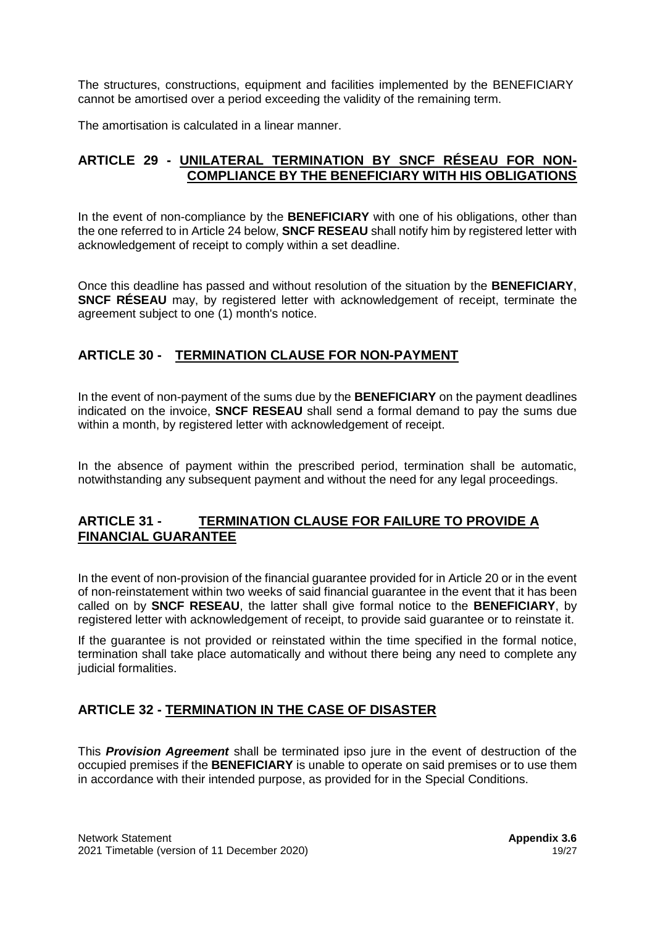The structures, constructions, equipment and facilities implemented by the BENEFICIARY cannot be amortised over a period exceeding the validity of the remaining term.

The amortisation is calculated in a linear manner.

## **ARTICLE 29 - UNILATERAL TERMINATION BY SNCF RÉSEAU FOR NON-COMPLIANCE BY THE BENEFICIARY WITH HIS OBLIGATIONS**

In the event of non-compliance by the **BENEFICIARY** with one of his obligations, other than the one referred to in Article 24 below, **SNCF RESEAU** shall notify him by registered letter with acknowledgement of receipt to comply within a set deadline.

Once this deadline has passed and without resolution of the situation by the **BENEFICIARY**, **SNCF RÉSEAU** may, by registered letter with acknowledgement of receipt, terminate the agreement subject to one (1) month's notice.

## **ARTICLE 30 - TERMINATION CLAUSE FOR NON-PAYMENT**

In the event of non-payment of the sums due by the **BENEFICIARY** on the payment deadlines indicated on the invoice, **SNCF RESEAU** shall send a formal demand to pay the sums due within a month, by registered letter with acknowledgement of receipt.

In the absence of payment within the prescribed period, termination shall be automatic, notwithstanding any subsequent payment and without the need for any legal proceedings.

## **ARTICLE 31 - TERMINATION CLAUSE FOR FAILURE TO PROVIDE A FINANCIAL GUARANTEE**

In the event of non-provision of the financial guarantee provided for in Article 20 or in the event of non-reinstatement within two weeks of said financial guarantee in the event that it has been called on by **SNCF RESEAU**, the latter shall give formal notice to the **BENEFICIARY**, by registered letter with acknowledgement of receipt, to provide said guarantee or to reinstate it.

If the guarantee is not provided or reinstated within the time specified in the formal notice, termination shall take place automatically and without there being any need to complete any iudicial formalities.

## **ARTICLE 32 - TERMINATION IN THE CASE OF DISASTER**

This *Provision Agreement* shall be terminated ipso jure in the event of destruction of the occupied premises if the **BENEFICIARY** is unable to operate on said premises or to use them in accordance with their intended purpose, as provided for in the Special Conditions.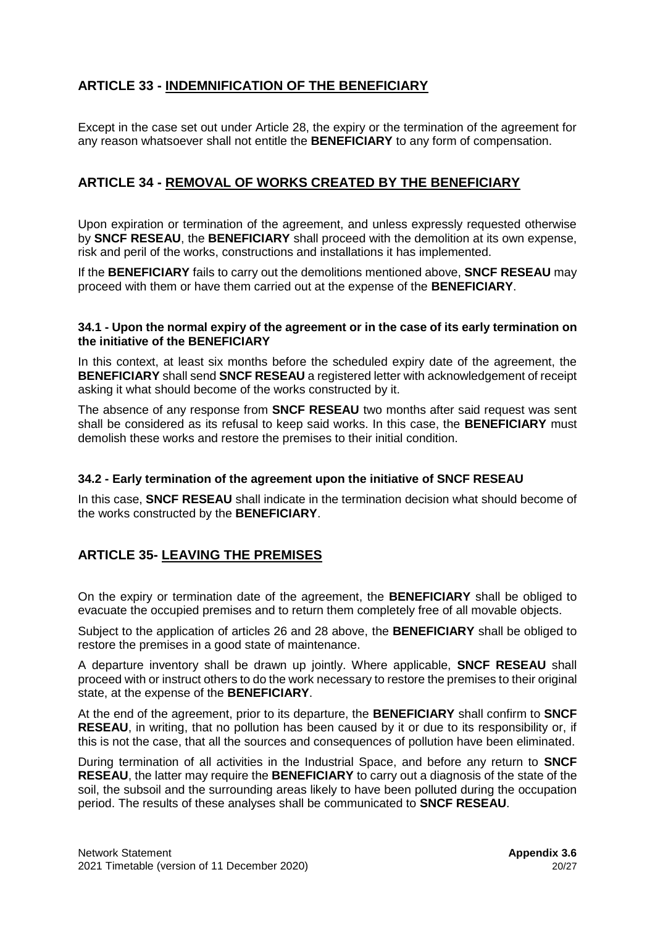# **ARTICLE 33 - INDEMNIFICATION OF THE BENEFICIARY**

Except in the case set out under Article 28, the expiry or the termination of the agreement for any reason whatsoever shall not entitle the **BENEFICIARY** to any form of compensation.

## **ARTICLE 34 - REMOVAL OF WORKS CREATED BY THE BENEFICIARY**

Upon expiration or termination of the agreement, and unless expressly requested otherwise by **SNCF RESEAU**, the **BENEFICIARY** shall proceed with the demolition at its own expense, risk and peril of the works, constructions and installations it has implemented.

If the **BENEFICIARY** fails to carry out the demolitions mentioned above, **SNCF RESEAU** may proceed with them or have them carried out at the expense of the **BENEFICIARY**.

#### **34.1 - Upon the normal expiry of the agreement or in the case of its early termination on the initiative of the BENEFICIARY**

In this context, at least six months before the scheduled expiry date of the agreement, the **BENEFICIARY** shall send **SNCF RESEAU** a registered letter with acknowledgement of receipt asking it what should become of the works constructed by it.

The absence of any response from **SNCF RESEAU** two months after said request was sent shall be considered as its refusal to keep said works. In this case, the **BENEFICIARY** must demolish these works and restore the premises to their initial condition.

#### **34.2 - Early termination of the agreement upon the initiative of SNCF RESEAU**

In this case, **SNCF RESEAU** shall indicate in the termination decision what should become of the works constructed by the **BENEFICIARY**.

## **ARTICLE 35- LEAVING THE PREMISES**

On the expiry or termination date of the agreement, the **BENEFICIARY** shall be obliged to evacuate the occupied premises and to return them completely free of all movable objects.

Subject to the application of articles 26 and 28 above, the **BENEFICIARY** shall be obliged to restore the premises in a good state of maintenance.

A departure inventory shall be drawn up jointly. Where applicable, **SNCF RESEAU** shall proceed with or instruct others to do the work necessary to restore the premises to their original state, at the expense of the **BENEFICIARY**.

At the end of the agreement, prior to its departure, the **BENEFICIARY** shall confirm to **SNCF RESEAU**, in writing, that no pollution has been caused by it or due to its responsibility or, if this is not the case, that all the sources and consequences of pollution have been eliminated.

During termination of all activities in the Industrial Space, and before any return to **SNCF RESEAU**, the latter may require the **BENEFICIARY** to carry out a diagnosis of the state of the soil, the subsoil and the surrounding areas likely to have been polluted during the occupation period. The results of these analyses shall be communicated to **SNCF RESEAU**.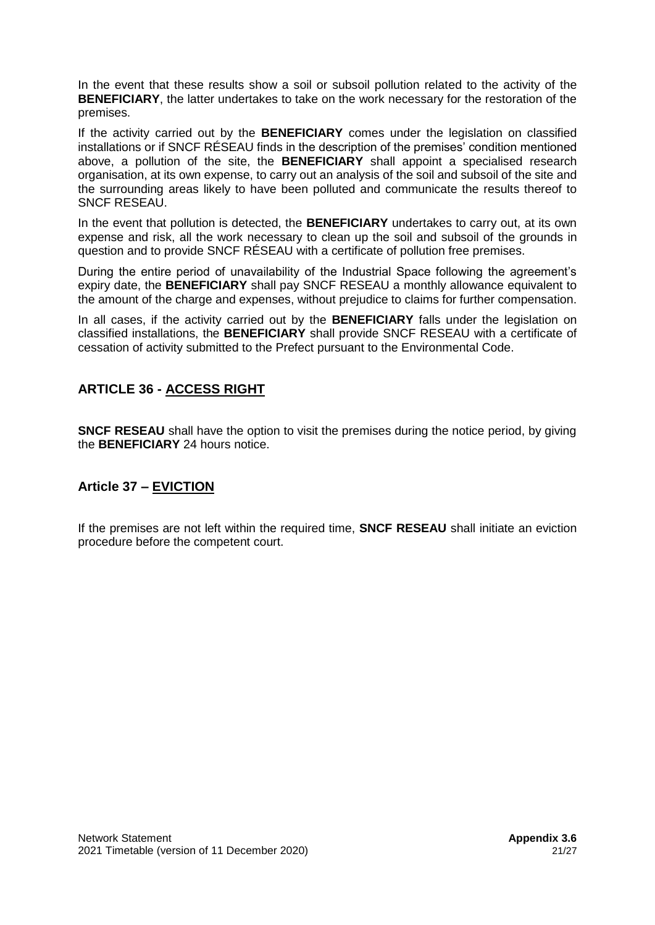In the event that these results show a soil or subsoil pollution related to the activity of the **BENEFICIARY**, the latter undertakes to take on the work necessary for the restoration of the premises.

If the activity carried out by the **BENEFICIARY** comes under the legislation on classified installations or if SNCF RÉSEAU finds in the description of the premises' condition mentioned above, a pollution of the site, the **BENEFICIARY** shall appoint a specialised research organisation, at its own expense, to carry out an analysis of the soil and subsoil of the site and the surrounding areas likely to have been polluted and communicate the results thereof to SNCF RESEAU.

In the event that pollution is detected, the **BENEFICIARY** undertakes to carry out, at its own expense and risk, all the work necessary to clean up the soil and subsoil of the grounds in question and to provide SNCF RÉSEAU with a certificate of pollution free premises.

During the entire period of unavailability of the Industrial Space following the agreement's expiry date, the **BENEFICIARY** shall pay SNCF RESEAU a monthly allowance equivalent to the amount of the charge and expenses, without prejudice to claims for further compensation.

In all cases, if the activity carried out by the **BENEFICIARY** falls under the legislation on classified installations, the **BENEFICIARY** shall provide SNCF RESEAU with a certificate of cessation of activity submitted to the Prefect pursuant to the Environmental Code.

# **ARTICLE 36 - ACCESS RIGHT**

**SNCF RESEAU** shall have the option to visit the premises during the notice period, by giving the **BENEFICIARY** 24 hours notice.

## **Article 37 – EVICTION**

If the premises are not left within the required time, **SNCF RESEAU** shall initiate an eviction procedure before the competent court.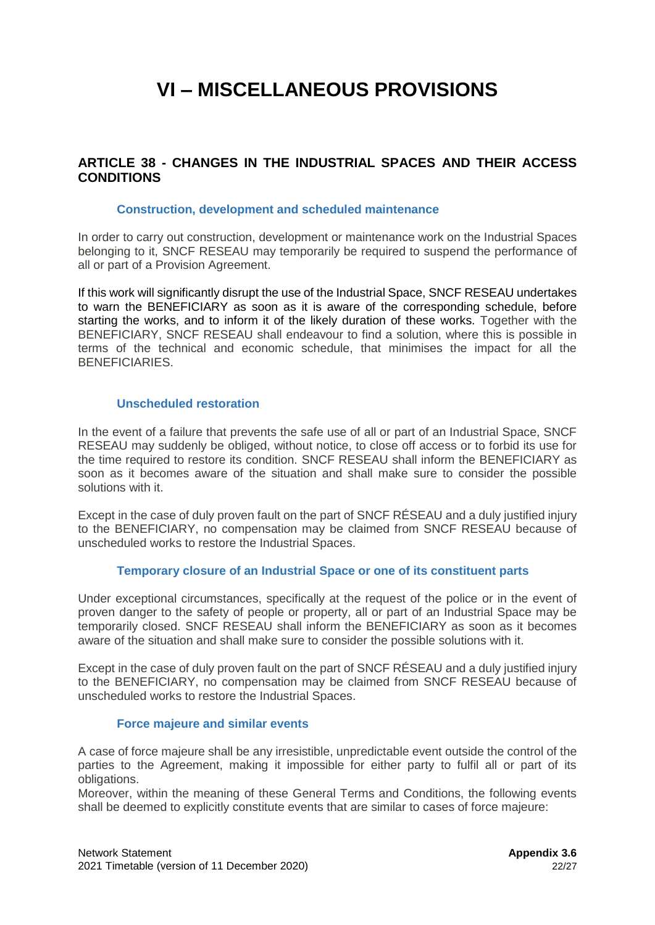# **VI – MISCELLANEOUS PROVISIONS**

## **ARTICLE 38 - CHANGES IN THE INDUSTRIAL SPACES AND THEIR ACCESS CONDITIONS**

#### **Construction, development and scheduled maintenance**

In order to carry out construction, development or maintenance work on the Industrial Spaces belonging to it, SNCF RESEAU may temporarily be required to suspend the performance of all or part of a Provision Agreement.

If this work will significantly disrupt the use of the Industrial Space, SNCF RESEAU undertakes to warn the BENEFICIARY as soon as it is aware of the corresponding schedule, before starting the works, and to inform it of the likely duration of these works. Together with the BENEFICIARY, SNCF RESEAU shall endeavour to find a solution, where this is possible in terms of the technical and economic schedule, that minimises the impact for all the BENEFICIARIES.

#### **Unscheduled restoration**

In the event of a failure that prevents the safe use of all or part of an Industrial Space, SNCF RESEAU may suddenly be obliged, without notice, to close off access or to forbid its use for the time required to restore its condition. SNCF RESEAU shall inform the BENEFICIARY as soon as it becomes aware of the situation and shall make sure to consider the possible solutions with it.

Except in the case of duly proven fault on the part of SNCF RÉSEAU and a duly justified injury to the BENEFICIARY, no compensation may be claimed from SNCF RESEAU because of unscheduled works to restore the Industrial Spaces.

#### **Temporary closure of an Industrial Space or one of its constituent parts**

Under exceptional circumstances, specifically at the request of the police or in the event of proven danger to the safety of people or property, all or part of an Industrial Space may be temporarily closed. SNCF RESEAU shall inform the BENEFICIARY as soon as it becomes aware of the situation and shall make sure to consider the possible solutions with it.

Except in the case of duly proven fault on the part of SNCF RÉSEAU and a duly justified injury to the BENEFICIARY, no compensation may be claimed from SNCF RESEAU because of unscheduled works to restore the Industrial Spaces.

#### **Force majeure and similar events**

A case of force majeure shall be any irresistible, unpredictable event outside the control of the parties to the Agreement, making it impossible for either party to fulfil all or part of its obligations.

Moreover, within the meaning of these General Terms and Conditions, the following events shall be deemed to explicitly constitute events that are similar to cases of force majeure: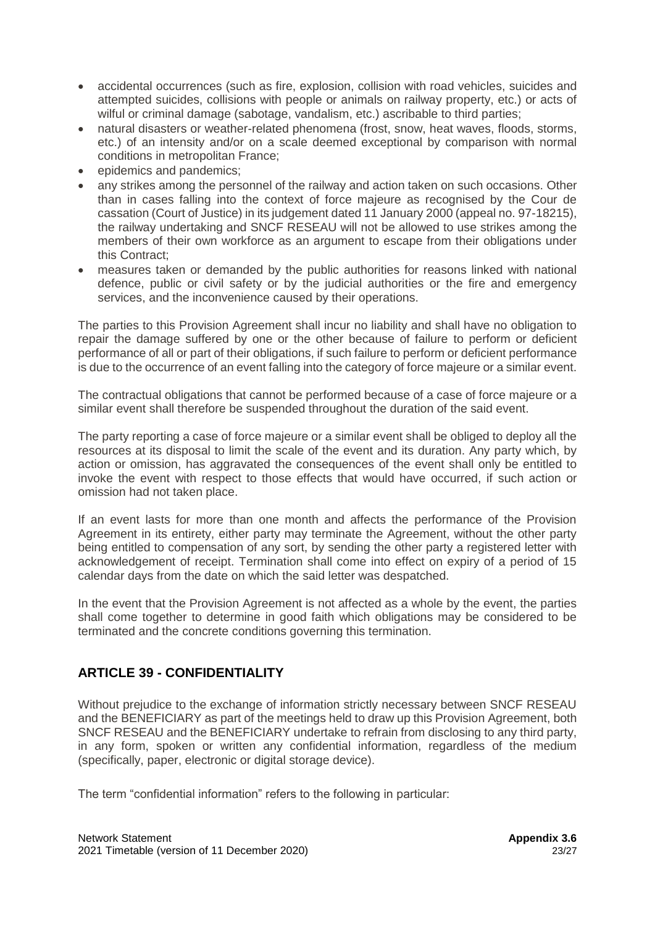- accidental occurrences (such as fire, explosion, collision with road vehicles, suicides and attempted suicides, collisions with people or animals on railway property, etc.) or acts of wilful or criminal damage (sabotage, vandalism, etc.) ascribable to third parties;
- natural disasters or weather-related phenomena (frost, snow, heat waves, floods, storms, etc.) of an intensity and/or on a scale deemed exceptional by comparison with normal conditions in metropolitan France;
- epidemics and pandemics;
- any strikes among the personnel of the railway and action taken on such occasions. Other than in cases falling into the context of force majeure as recognised by the Cour de cassation (Court of Justice) in its judgement dated 11 January 2000 (appeal no. 97-18215), the railway undertaking and SNCF RESEAU will not be allowed to use strikes among the members of their own workforce as an argument to escape from their obligations under this Contract;
- measures taken or demanded by the public authorities for reasons linked with national defence, public or civil safety or by the judicial authorities or the fire and emergency services, and the inconvenience caused by their operations.

The parties to this Provision Agreement shall incur no liability and shall have no obligation to repair the damage suffered by one or the other because of failure to perform or deficient performance of all or part of their obligations, if such failure to perform or deficient performance is due to the occurrence of an event falling into the category of force majeure or a similar event.

The contractual obligations that cannot be performed because of a case of force majeure or a similar event shall therefore be suspended throughout the duration of the said event.

The party reporting a case of force majeure or a similar event shall be obliged to deploy all the resources at its disposal to limit the scale of the event and its duration. Any party which, by action or omission, has aggravated the consequences of the event shall only be entitled to invoke the event with respect to those effects that would have occurred, if such action or omission had not taken place.

If an event lasts for more than one month and affects the performance of the Provision Agreement in its entirety, either party may terminate the Agreement, without the other party being entitled to compensation of any sort, by sending the other party a registered letter with acknowledgement of receipt. Termination shall come into effect on expiry of a period of 15 calendar days from the date on which the said letter was despatched.

In the event that the Provision Agreement is not affected as a whole by the event, the parties shall come together to determine in good faith which obligations may be considered to be terminated and the concrete conditions governing this termination.

## **ARTICLE 39 - CONFIDENTIALITY**

Without prejudice to the exchange of information strictly necessary between SNCF RESEAU and the BENEFICIARY as part of the meetings held to draw up this Provision Agreement, both SNCF RESEAU and the BENEFICIARY undertake to refrain from disclosing to any third party, in any form, spoken or written any confidential information, regardless of the medium (specifically, paper, electronic or digital storage device).

The term "confidential information" refers to the following in particular: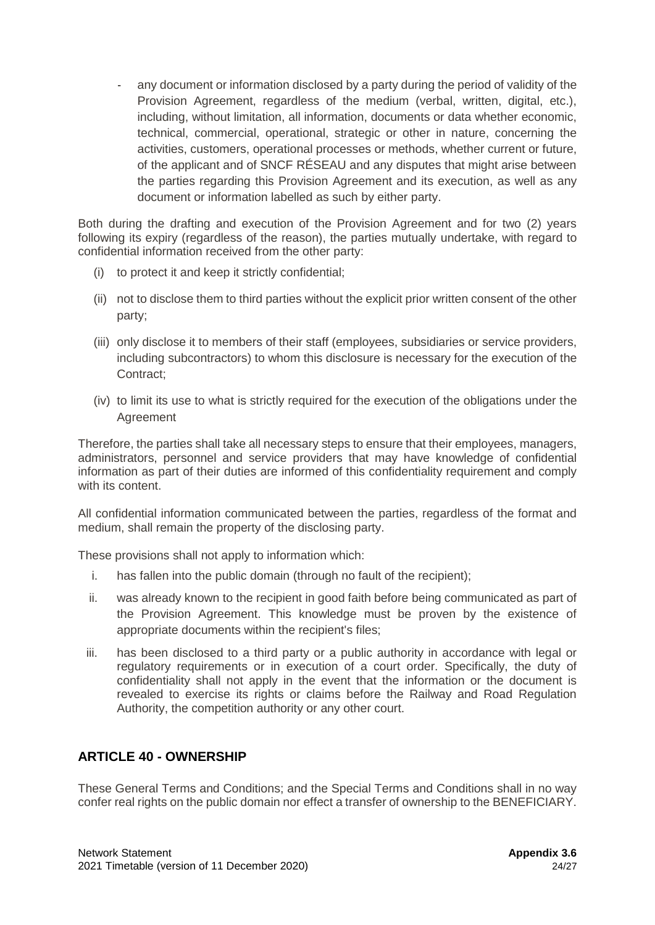any document or information disclosed by a party during the period of validity of the Provision Agreement, regardless of the medium (verbal, written, digital, etc.), including, without limitation, all information, documents or data whether economic, technical, commercial, operational, strategic or other in nature, concerning the activities, customers, operational processes or methods, whether current or future, of the applicant and of SNCF RÉSEAU and any disputes that might arise between the parties regarding this Provision Agreement and its execution, as well as any document or information labelled as such by either party.

Both during the drafting and execution of the Provision Agreement and for two (2) years following its expiry (regardless of the reason), the parties mutually undertake, with regard to confidential information received from the other party:

- (i) to protect it and keep it strictly confidential;
- (ii) not to disclose them to third parties without the explicit prior written consent of the other party;
- (iii) only disclose it to members of their staff (employees, subsidiaries or service providers, including subcontractors) to whom this disclosure is necessary for the execution of the Contract;
- (iv) to limit its use to what is strictly required for the execution of the obligations under the Agreement

Therefore, the parties shall take all necessary steps to ensure that their employees, managers, administrators, personnel and service providers that may have knowledge of confidential information as part of their duties are informed of this confidentiality requirement and comply with its content.

All confidential information communicated between the parties, regardless of the format and medium, shall remain the property of the disclosing party.

These provisions shall not apply to information which:

- i. has fallen into the public domain (through no fault of the recipient);
- ii. was already known to the recipient in good faith before being communicated as part of the Provision Agreement. This knowledge must be proven by the existence of appropriate documents within the recipient's files;
- iii. has been disclosed to a third party or a public authority in accordance with legal or regulatory requirements or in execution of a court order. Specifically, the duty of confidentiality shall not apply in the event that the information or the document is revealed to exercise its rights or claims before the Railway and Road Regulation Authority, the competition authority or any other court.

## **ARTICLE 40 - OWNERSHIP**

These General Terms and Conditions; and the Special Terms and Conditions shall in no way confer real rights on the public domain nor effect a transfer of ownership to the BENEFICIARY.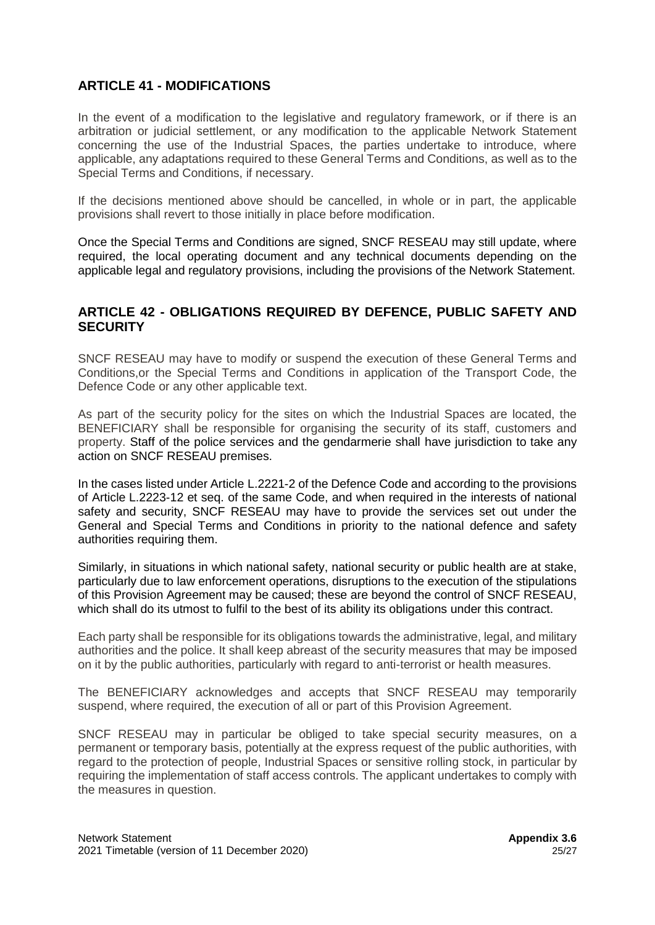## **ARTICLE 41 - MODIFICATIONS**

In the event of a modification to the legislative and regulatory framework, or if there is an arbitration or judicial settlement, or any modification to the applicable Network Statement concerning the use of the Industrial Spaces, the parties undertake to introduce, where applicable, any adaptations required to these General Terms and Conditions, as well as to the Special Terms and Conditions, if necessary.

If the decisions mentioned above should be cancelled, in whole or in part, the applicable provisions shall revert to those initially in place before modification.

Once the Special Terms and Conditions are signed, SNCF RESEAU may still update, where required, the local operating document and any technical documents depending on the applicable legal and regulatory provisions, including the provisions of the Network Statement.

## **ARTICLE 42 - OBLIGATIONS REQUIRED BY DEFENCE, PUBLIC SAFETY AND SECURITY**

SNCF RESEAU may have to modify or suspend the execution of these General Terms and Conditions,or the Special Terms and Conditions in application of the Transport Code, the Defence Code or any other applicable text.

As part of the security policy for the sites on which the Industrial Spaces are located, the BENEFICIARY shall be responsible for organising the security of its staff, customers and property. Staff of the police services and the gendarmerie shall have jurisdiction to take any action on SNCF RESEAU premises.

In the cases listed under Article L.2221-2 of the Defence Code and according to the provisions of Article L.2223-12 et seq. of the same Code, and when required in the interests of national safety and security, SNCF RESEAU may have to provide the services set out under the General and Special Terms and Conditions in priority to the national defence and safety authorities requiring them.

Similarly, in situations in which national safety, national security or public health are at stake, particularly due to law enforcement operations, disruptions to the execution of the stipulations of this Provision Agreement may be caused; these are beyond the control of SNCF RESEAU, which shall do its utmost to fulfil to the best of its ability its obligations under this contract.

Each party shall be responsible for its obligations towards the administrative, legal, and military authorities and the police. It shall keep abreast of the security measures that may be imposed on it by the public authorities, particularly with regard to anti-terrorist or health measures.

The BENEFICIARY acknowledges and accepts that SNCF RESEAU may temporarily suspend, where required, the execution of all or part of this Provision Agreement.

SNCF RESEAU may in particular be obliged to take special security measures, on a permanent or temporary basis, potentially at the express request of the public authorities, with regard to the protection of people, Industrial Spaces or sensitive rolling stock, in particular by requiring the implementation of staff access controls. The applicant undertakes to comply with the measures in question.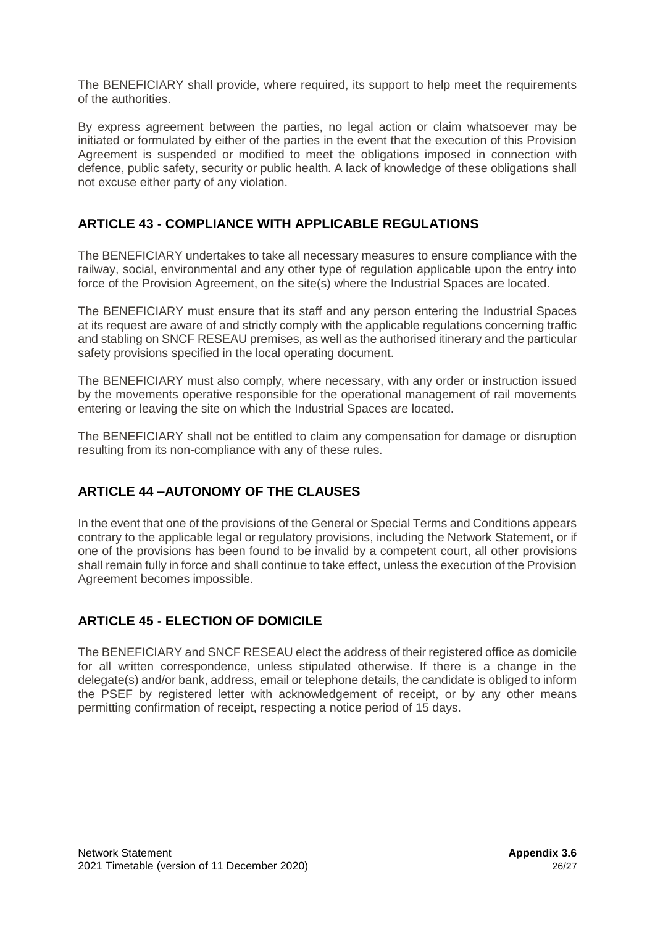The BENEFICIARY shall provide, where required, its support to help meet the requirements of the authorities.

By express agreement between the parties, no legal action or claim whatsoever may be initiated or formulated by either of the parties in the event that the execution of this Provision Agreement is suspended or modified to meet the obligations imposed in connection with defence, public safety, security or public health. A lack of knowledge of these obligations shall not excuse either party of any violation.

## **ARTICLE 43 - COMPLIANCE WITH APPLICABLE REGULATIONS**

The BENEFICIARY undertakes to take all necessary measures to ensure compliance with the railway, social, environmental and any other type of regulation applicable upon the entry into force of the Provision Agreement, on the site(s) where the Industrial Spaces are located.

The BENEFICIARY must ensure that its staff and any person entering the Industrial Spaces at its request are aware of and strictly comply with the applicable regulations concerning traffic and stabling on SNCF RESEAU premises, as well as the authorised itinerary and the particular safety provisions specified in the local operating document.

The BENEFICIARY must also comply, where necessary, with any order or instruction issued by the movements operative responsible for the operational management of rail movements entering or leaving the site on which the Industrial Spaces are located.

The BENEFICIARY shall not be entitled to claim any compensation for damage or disruption resulting from its non-compliance with any of these rules.

## **ARTICLE 44 –AUTONOMY OF THE CLAUSES**

In the event that one of the provisions of the General or Special Terms and Conditions appears contrary to the applicable legal or regulatory provisions, including the Network Statement, or if one of the provisions has been found to be invalid by a competent court, all other provisions shall remain fully in force and shall continue to take effect, unless the execution of the Provision Agreement becomes impossible.

## **ARTICLE 45 - ELECTION OF DOMICILE**

The BENEFICIARY and SNCF RESEAU elect the address of their registered office as domicile for all written correspondence, unless stipulated otherwise. If there is a change in the delegate(s) and/or bank, address, email or telephone details, the candidate is obliged to inform the PSEF by registered letter with acknowledgement of receipt, or by any other means permitting confirmation of receipt, respecting a notice period of 15 days.